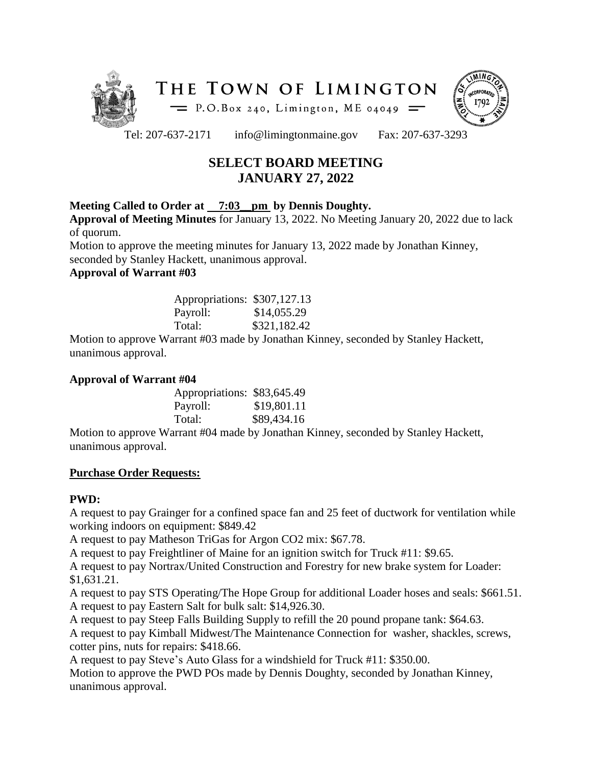



Tel: 207-637-2171 info@limingtonmaine.gov Fax: 207-637-3293

# **SELECT BOARD MEETING JANUARY 27, 2022**

## **Meeting Called to Order at 7:03\_\_pm by Dennis Doughty.**

**Approval of Meeting Minutes** for January 13, 2022. No Meeting January 20, 2022 due to lack of quorum.

Motion to approve the meeting minutes for January 13, 2022 made by Jonathan Kinney, seconded by Stanley Hackett, unanimous approval.

**Approval of Warrant #03**

| Appropriations: \$307,127.13 |              |
|------------------------------|--------------|
| Payroll:                     | \$14,055.29  |
| Total:                       | \$321,182.42 |

Motion to approve Warrant #03 made by Jonathan Kinney, seconded by Stanley Hackett, unanimous approval.

## **Approval of Warrant #04**

| Appropriations: \$83,645.49 |             |
|-----------------------------|-------------|
| Payroll:                    | \$19,801.11 |
| Total:                      | \$89,434.16 |

Motion to approve Warrant #04 made by Jonathan Kinney, seconded by Stanley Hackett, unanimous approval.

## **Purchase Order Requests:**

## **PWD:**

A request to pay Grainger for a confined space fan and 25 feet of ductwork for ventilation while working indoors on equipment: \$849.42

A request to pay Matheson TriGas for Argon CO2 mix: \$67.78.

A request to pay Freightliner of Maine for an ignition switch for Truck #11: \$9.65.

A request to pay Nortrax/United Construction and Forestry for new brake system for Loader: \$1,631.21.

A request to pay STS Operating/The Hope Group for additional Loader hoses and seals: \$661.51. A request to pay Eastern Salt for bulk salt: \$14,926.30.

A request to pay Steep Falls Building Supply to refill the 20 pound propane tank: \$64.63.

A request to pay Kimball Midwest/The Maintenance Connection for washer, shackles, screws, cotter pins, nuts for repairs: \$418.66.

A request to pay Steve's Auto Glass for a windshield for Truck #11: \$350.00. Motion to approve the PWD POs made by Dennis Doughty, seconded by Jonathan Kinney, unanimous approval.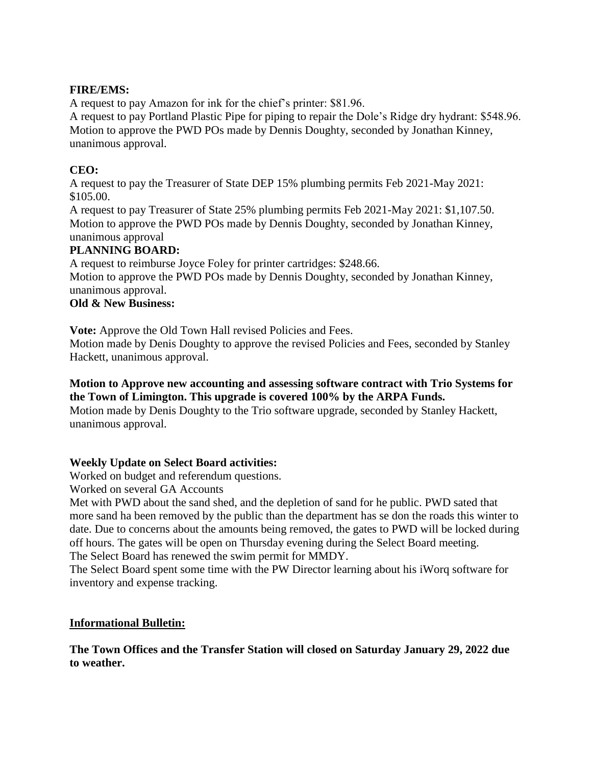## **FIRE/EMS:**

A request to pay Amazon for ink for the chief's printer: \$81.96.

A request to pay Portland Plastic Pipe for piping to repair the Dole's Ridge dry hydrant: \$548.96. Motion to approve the PWD POs made by Dennis Doughty, seconded by Jonathan Kinney, unanimous approval.

## **CEO:**

A request to pay the Treasurer of State DEP 15% plumbing permits Feb 2021-May 2021: \$105.00.

A request to pay Treasurer of State 25% plumbing permits Feb 2021-May 2021: \$1,107.50. Motion to approve the PWD POs made by Dennis Doughty, seconded by Jonathan Kinney, unanimous approval

## **PLANNING BOARD:**

A request to reimburse Joyce Foley for printer cartridges: \$248.66.

Motion to approve the PWD POs made by Dennis Doughty, seconded by Jonathan Kinney, unanimous approval.

## **Old & New Business:**

**Vote:** Approve the Old Town Hall revised Policies and Fees.

Motion made by Denis Doughty to approve the revised Policies and Fees, seconded by Stanley Hackett, unanimous approval.

## **Motion to Approve new accounting and assessing software contract with Trio Systems for the Town of Limington. This upgrade is covered 100% by the ARPA Funds.**

Motion made by Denis Doughty to the Trio software upgrade, seconded by Stanley Hackett, unanimous approval.

## **Weekly Update on Select Board activities:**

Worked on budget and referendum questions.

Worked on several GA Accounts

Met with PWD about the sand shed, and the depletion of sand for he public. PWD sated that more sand ha been removed by the public than the department has se don the roads this winter to date. Due to concerns about the amounts being removed, the gates to PWD will be locked during off hours. The gates will be open on Thursday evening during the Select Board meeting. The Select Board has renewed the swim permit for MMDY.

The Select Board spent some time with the PW Director learning about his iWorq software for inventory and expense tracking.

### **Informational Bulletin:**

**The Town Offices and the Transfer Station will closed on Saturday January 29, 2022 due to weather.**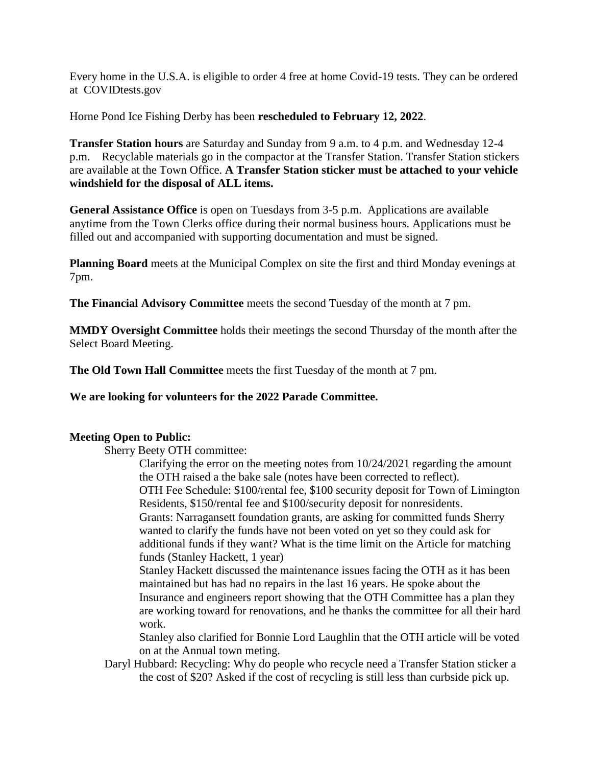Every home in the U.S.A. is eligible to order 4 free at home Covid-19 tests. They can be ordered at COVIDtests.gov

Horne Pond Ice Fishing Derby has been **rescheduled to February 12, 2022**.

**Transfer Station hours** are Saturday and Sunday from 9 a.m. to 4 p.m. and Wednesday 12-4 p.m. Recyclable materials go in the compactor at the Transfer Station. Transfer Station stickers are available at the Town Office. **A Transfer Station sticker must be attached to your vehicle windshield for the disposal of ALL items.**

**General Assistance Office** is open on Tuesdays from 3-5 p.m. Applications are available anytime from the Town Clerks office during their normal business hours. Applications must be filled out and accompanied with supporting documentation and must be signed.

**Planning Board** meets at the Municipal Complex on site the first and third Monday evenings at 7pm.

**The Financial Advisory Committee** meets the second Tuesday of the month at 7 pm.

**MMDY Oversight Committee** holds their meetings the second Thursday of the month after the Select Board Meeting.

**The Old Town Hall Committee** meets the first Tuesday of the month at 7 pm.

**We are looking for volunteers for the 2022 Parade Committee.**

### **Meeting Open to Public:**

Sherry Beety OTH committee:

Clarifying the error on the meeting notes from 10/24/2021 regarding the amount the OTH raised a the bake sale (notes have been corrected to reflect). OTH Fee Schedule: \$100/rental fee, \$100 security deposit for Town of Limington Residents, \$150/rental fee and \$100/security deposit for nonresidents.

Grants: Narragansett foundation grants, are asking for committed funds Sherry wanted to clarify the funds have not been voted on yet so they could ask for additional funds if they want? What is the time limit on the Article for matching funds (Stanley Hackett, 1 year)

Stanley Hackett discussed the maintenance issues facing the OTH as it has been maintained but has had no repairs in the last 16 years. He spoke about the Insurance and engineers report showing that the OTH Committee has a plan they are working toward for renovations, and he thanks the committee for all their hard work.

Stanley also clarified for Bonnie Lord Laughlin that the OTH article will be voted on at the Annual town meting.

Daryl Hubbard: Recycling: Why do people who recycle need a Transfer Station sticker a the cost of \$20? Asked if the cost of recycling is still less than curbside pick up.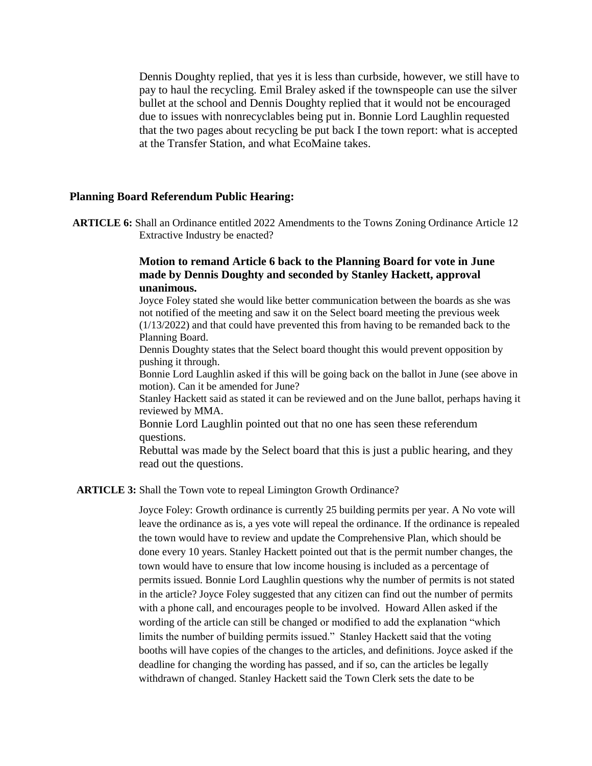Dennis Doughty replied, that yes it is less than curbside, however, we still have to pay to haul the recycling. Emil Braley asked if the townspeople can use the silver bullet at the school and Dennis Doughty replied that it would not be encouraged due to issues with nonrecyclables being put in. Bonnie Lord Laughlin requested that the two pages about recycling be put back I the town report: what is accepted at the Transfer Station, and what EcoMaine takes.

#### **Planning Board Referendum Public Hearing:**

**ARTICLE 6:** Shall an Ordinance entitled 2022 Amendments to the Towns Zoning Ordinance Article 12 Extractive Industry be enacted?

#### **Motion to remand Article 6 back to the Planning Board for vote in June made by Dennis Doughty and seconded by Stanley Hackett, approval unanimous.**

Joyce Foley stated she would like better communication between the boards as she was not notified of the meeting and saw it on the Select board meeting the previous week (1/13/2022) and that could have prevented this from having to be remanded back to the Planning Board.

Dennis Doughty states that the Select board thought this would prevent opposition by pushing it through.

Bonnie Lord Laughlin asked if this will be going back on the ballot in June (see above in motion). Can it be amended for June?

Stanley Hackett said as stated it can be reviewed and on the June ballot, perhaps having it reviewed by MMA.

Bonnie Lord Laughlin pointed out that no one has seen these referendum questions.

Rebuttal was made by the Select board that this is just a public hearing, and they read out the questions.

#### **ARTICLE 3:** Shall the Town vote to repeal Limington Growth Ordinance?

Joyce Foley: Growth ordinance is currently 25 building permits per year. A No vote will leave the ordinance as is, a yes vote will repeal the ordinance. If the ordinance is repealed the town would have to review and update the Comprehensive Plan, which should be done every 10 years. Stanley Hackett pointed out that is the permit number changes, the town would have to ensure that low income housing is included as a percentage of permits issued. Bonnie Lord Laughlin questions why the number of permits is not stated in the article? Joyce Foley suggested that any citizen can find out the number of permits with a phone call, and encourages people to be involved. Howard Allen asked if the wording of the article can still be changed or modified to add the explanation "which limits the number of building permits issued." Stanley Hackett said that the voting booths will have copies of the changes to the articles, and definitions. Joyce asked if the deadline for changing the wording has passed, and if so, can the articles be legally withdrawn of changed. Stanley Hackett said the Town Clerk sets the date to be